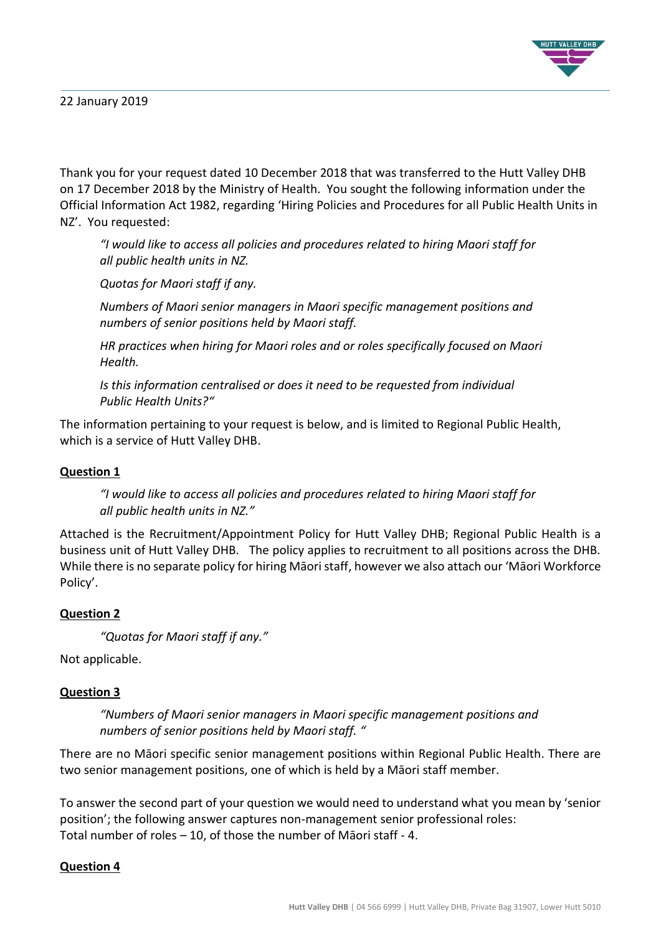

Thank you for your request dated 10 December 2018 that was transferred to the Hutt Valley DHB on 17 December 2018 by the Ministry of Health. You sought the following information under the Official Information Act 1982, regarding 'Hiring Policies and Procedures for all Public Health Units in NZ'. You requested:

*"I would like to access all policies and procedures related to hiring Maori staff for all public health units in NZ.* 

*Quotas for Maori staff if any.* 

*Numbers of Maori senior managers in Maori specific management positions and numbers of senior positions held by Maori staff.* 

*HR practices when hiring for Maori roles and or roles specifically focused on Maori Health.* 

*Is this information centralised or does it need to be requested from individual Public Health Units?"*

The information pertaining to your request is below, and is limited to Regional Public Health, which is a service of Hutt Valley DHB.

## **Question 1**

*"I would like to access all policies and procedures related to hiring Maori staff for all public health units in NZ."*

Attached is the Recruitment/Appointment Policy for Hutt Valley DHB; Regional Public Health is a business unit of Hutt Valley DHB. The policy applies to recruitment to all positions across the DHB. While there is no separate policy for hiring Māori staff, however we also attach our 'Māori Workforce Policy'.

## **Question 2**

```
"Quotas for Maori staff if any."
```
Not applicable.

## **Question 3**

*"Numbers of Maori senior managers in Maori specific management positions and numbers of senior positions held by Maori staff. "*

There are no Māori specific senior management positions within Regional Public Health. There are two senior management positions, one of which is held by a Māori staff member.

To answer the second part of your question we would need to understand what you mean by 'senior position'; the following answer captures non-management senior professional roles: Total number of roles – 10, of those the number of Māori staff - 4.

## **Question 4**